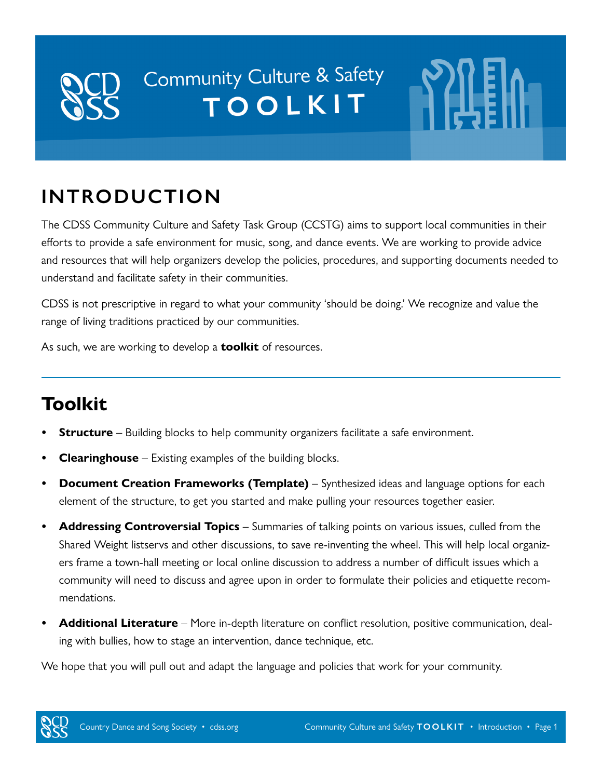# Community Culture & Safety TOOLKIT

## **INTRODUCTION**

The CDSS Community Culture and Safety Task Group (CCSTG) aims to support local communities in their efforts to provide a safe environment for music, song, and dance events. We are working to provide advice and resources that will help organizers develop the policies, procedures, and supporting documents needed to understand and facilitate safety in their communities.

CDSS is not prescriptive in regard to what your community 'should be doing.' We recognize and value the range of living traditions practiced by our communities.

As such, we are working to develop a **toolkit** of resources.

## **Toolkit**

- **Structure** Building blocks to help community organizers facilitate a safe environment.
- **• Clearinghouse** Existing examples of the building blocks.
- **• Document Creation Frameworks (Template)** Synthesized ideas and language options for each element of the structure, to get you started and make pulling your resources together easier.
- **• Addressing Controversial Topics** Summaries of talking points on various issues, culled from the Shared Weight listservs and other discussions, to save re-inventing the wheel. This will help local organizers frame a town-hall meeting or local online discussion to address a number of difficult issues which a community will need to discuss and agree upon in order to formulate their policies and etiquette recommendations.
- **• Additional Literature** More in-depth literature on conflict resolution, positive communication, dealing with bullies, how to stage an intervention, dance technique, etc.

We hope that you will pull out and adapt the language and policies that work for your community.

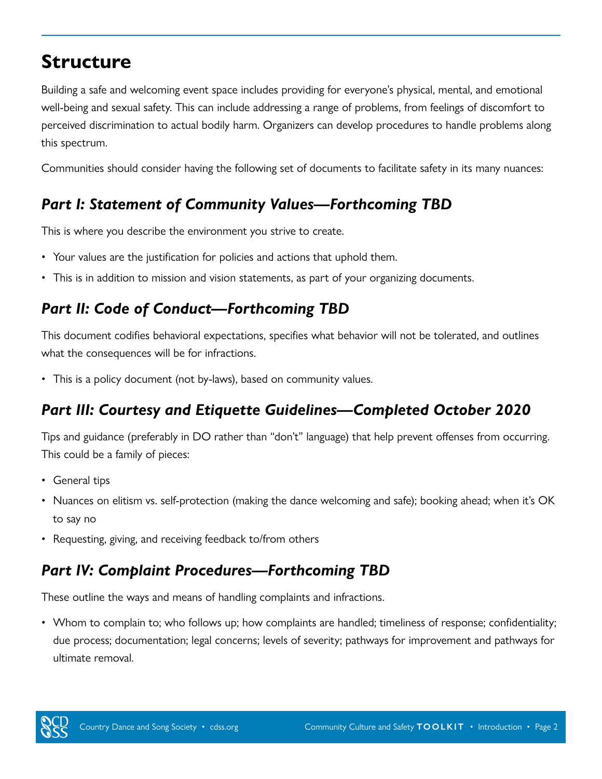## **Structure**

Building a safe and welcoming event space includes providing for everyone's physical, mental, and emotional well-being and sexual safety. This can include addressing a range of problems, from feelings of discomfort to perceived discrimination to actual bodily harm. Organizers can develop procedures to handle problems along this spectrum.

Communities should consider having the following set of documents to facilitate safety in its many nuances:

### *Part I: Statement of Community Values—Forthcoming TBD*

This is where you describe the environment you strive to create.

- Your values are the justification for policies and actions that uphold them.
- This is in addition to mission and vision statements, as part of your organizing documents.

### *Part II: Code of Conduct—Forthcoming TBD*

This document codifies behavioral expectations, specifies what behavior will not be tolerated, and outlines what the consequences will be for infractions.

• This is a policy document (not by-laws), based on community values.

### *Part III: Courtesy and Etiquette Guidelines—Completed October 2020*

Tips and guidance (preferably in DO rather than "don't" language) that help prevent offenses from occurring. This could be a family of pieces:

- General tips
- Nuances on elitism vs. self-protection (making the dance welcoming and safe); booking ahead; when it's OK to say no
- Requesting, giving, and receiving feedback to/from others

### *Part IV: Complaint Procedures—Forthcoming TBD*

These outline the ways and means of handling complaints and infractions.

• Whom to complain to; who follows up; how complaints are handled; timeliness of response; confidentiality; due process; documentation; legal concerns; levels of severity; pathways for improvement and pathways for ultimate removal.

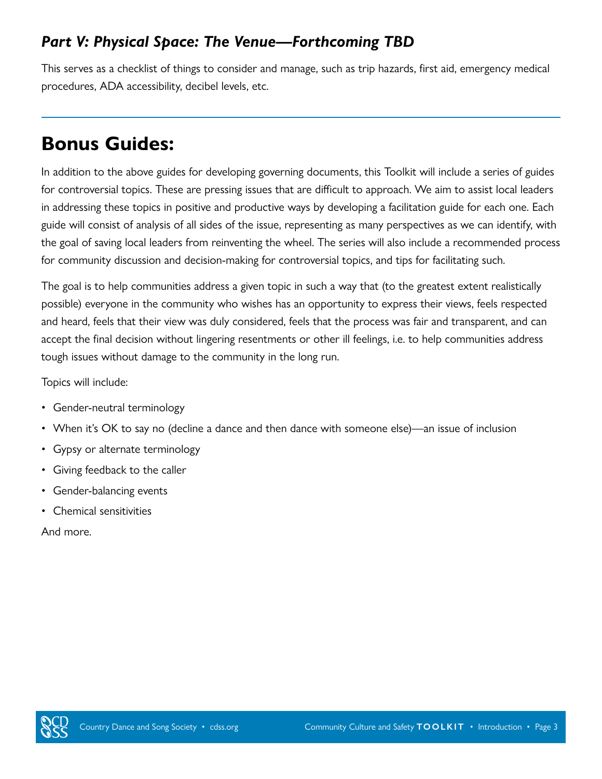### *Part V: Physical Space: The Venue—Forthcoming TBD*

This serves as a checklist of things to consider and manage, such as trip hazards, first aid, emergency medical procedures, ADA accessibility, decibel levels, etc.

## **Bonus Guides:**

In addition to the above guides for developing governing documents, this Toolkit will include a series of guides for controversial topics. These are pressing issues that are difficult to approach. We aim to assist local leaders in addressing these topics in positive and productive ways by developing a facilitation guide for each one. Each guide will consist of analysis of all sides of the issue, representing as many perspectives as we can identify, with the goal of saving local leaders from reinventing the wheel. The series will also include a recommended process for community discussion and decision-making for controversial topics, and tips for facilitating such.

The goal is to help communities address a given topic in such a way that (to the greatest extent realistically possible) everyone in the community who wishes has an opportunity to express their views, feels respected and heard, feels that their view was duly considered, feels that the process was fair and transparent, and can accept the final decision without lingering resentments or other ill feelings, i.e. to help communities address tough issues without damage to the community in the long run.

Topics will include:

- Gender-neutral terminology
- When it's OK to say no (decline a dance and then dance with someone else)—an issue of inclusion
- Gypsy or alternate terminology
- Giving feedback to the caller
- Gender-balancing events
- Chemical sensitivities

And more.